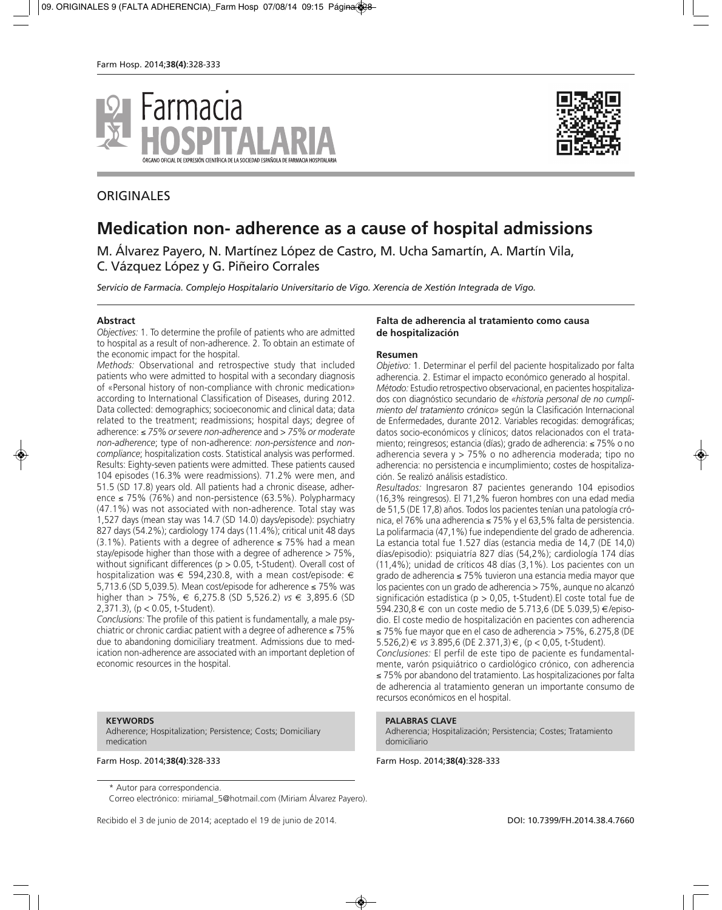



## **ORIGINALES**

# **Medication non- adherence as a cause of hospital admissions**

M. Álvarez Payero, N. Martínez López de Castro, M. Ucha Samartín, A. Martín Vila, C. Vázquez López y G. Piñeiro Corrales

*Servicio de Farmacia. Complejo Hospitalario Universitario de Vigo. Xerencia de Xestión Integrada de Vigo.*

#### **Abstract**

*Objectives:* 1. To determine the profile of patients who are admitted to hospital as a result of non-adherence. 2. To obtain an estimate of the economic impact for the hospital.

*Methods:* Observational and retrospective study that included patients who were admitted to hospital with a secondary diagnosis of «Personal history of non-compliance with chronic medication*»* according to International Classification of Diseases, during 2012. Data collected: demographics; socioeconomic and clinical data; data related to the treatment; readmissions; hospital days; degree of adherence: ≤ *75% or severe non-adherence* and *> 75% or moderate non-adherence*; type of non-adherence: *non-persistence* and *noncompliance*; hospitalization costs. Statistical analysis was performed. Results: Eighty-seven patients were admitted. These patients caused 104 episodes (16.3% were readmissions). 71.2% were men, and 51.5 (SD 17.8) years old. All patients had a chronic disease, adherence  $\leq$  75% (76%) and non-persistence (63.5%). Polypharmacy (47.1%) was not associated with non-adherence. Total stay was 1,527 days (mean stay was 14.7 (SD 14.0) days/episode): psychiatry 827 days (54.2%); cardiology 174 days (11.4%); critical unit 48 days (3.1%). Patients with a degree of adherence  $\leq$  75% had a mean stay/episode higher than those with a degree of adherence > 75%, without significant differences ( $p > 0.05$ , t-Student). Overall cost of hospitalization was  $\epsilon$  594,230.8, with a mean cost/episode:  $\epsilon$ 5,713.6 (SD 5,039.5). Mean cost/episode for adherence ≤ 75% was higher than > 75%, € 6,275.8 (SD 5,526.2) *vs* € 3,895.6 (SD 2,371.3), (p < 0.05, t-Student).

*Conclusions:* The profile of this patient is fundamentally, a male psychiatric or chronic cardiac patient with a degree of adherence ≤ 75% due to abandoning domiciliary treatment. Admissions due to medication non-adherence are associated with an important depletion of economic resources in the hospital.

#### **KEYWORDS**

Adherence; Hospitalization; Persistence; Costs; Domiciliary medication

\* Autor para correspondencia.

Correo electrónico: miriamal\_5@hotmail.com (Miriam Álvarez Payero).

Recibido el 3 de junio de 2014; aceptado el 19 de junio de 2014. **DOI: 10.7399/FH.2014.38.4.7660** 

#### **Falta de adherencia al tratamiento como causa de hospitalización**

#### **Resumen**

*Objetivo:* 1. Determinar el perfil del paciente hospitalizado por falta adherencia. 2. Estimar el impacto económico generado al hospital. *Método:* Estudio retrospectivo observacional, en pacientes hospitalizados con diagnóstico secundario de *«historia personal de no cumplimiento del tratamiento crónico»* según la Clasificación Internacional de Enfermedades, durante 2012. Variables recogidas: demográficas; datos socio-económicos y clínicos; datos relacionados con el tratamiento; reingresos; estancia (días); grado de adherencia: ≤ 75% o no adherencia severa y > 75% o no adherencia moderada; tipo no adherencia: no persistencia e incumplimiento; costes de hospitalización. Se realizó análisis estadístico.

*Resultados:* Ingresaron 87 pacientes generando 104 episodios (16,3% reingresos). El 71,2% fueron hombres con una edad media de 51,5 (DE 17,8) años. Todos los pacientes tenían una patología crónica, el 76% una adherencia ≤ 75% y el 63,5% falta de persistencia. La polifarmacia (47,1%) fue independiente del grado de adherencia. La estancia total fue 1.527 días (estancia media de 14,7 (DE 14,0) días/episodio): psiquiatría 827 días (54,2%); cardiología 174 días (11,4%); unidad de críticos 48 días (3,1%). Los pacientes con un grado de adherencia ≤ 75% tuvieron una estancia media mayor que los pacientes con un grado de adherencia > 75%, aunque no alcanzó significación estadística (p > 0,05, t-Student).El coste total fue de 594.230,8 € con un coste medio de 5.713,6 (DE 5.039,5) €/episodio. El coste medio de hospitalización en pacientes con adherencia ≤ 75% fue mayor que en el caso de adherencia > 75%, 6.275,8 (DE 5.526,2) € *vs* 3.895,6 (DE 2.371,3) €, (p < 0,05, t-Student).

*Conclusiones:* El perfil de este tipo de paciente es fundamentalmente, varón psiquiátrico o cardiológico crónico, con adherencia ≤ 75% por abandono del tratamiento. Las hospitalizaciones por falta de adherencia al tratamiento generan un importante consumo de recursos económicos en el hospital.

### **PALABRAS CLAVE**

Adherencia; Hospitalización; Persistencia; Costes; Tratamiento domiciliario

Farm Hosp. 2014;**38(4)**:328-333 Farm Hosp. 2014;**38(4)**:328-333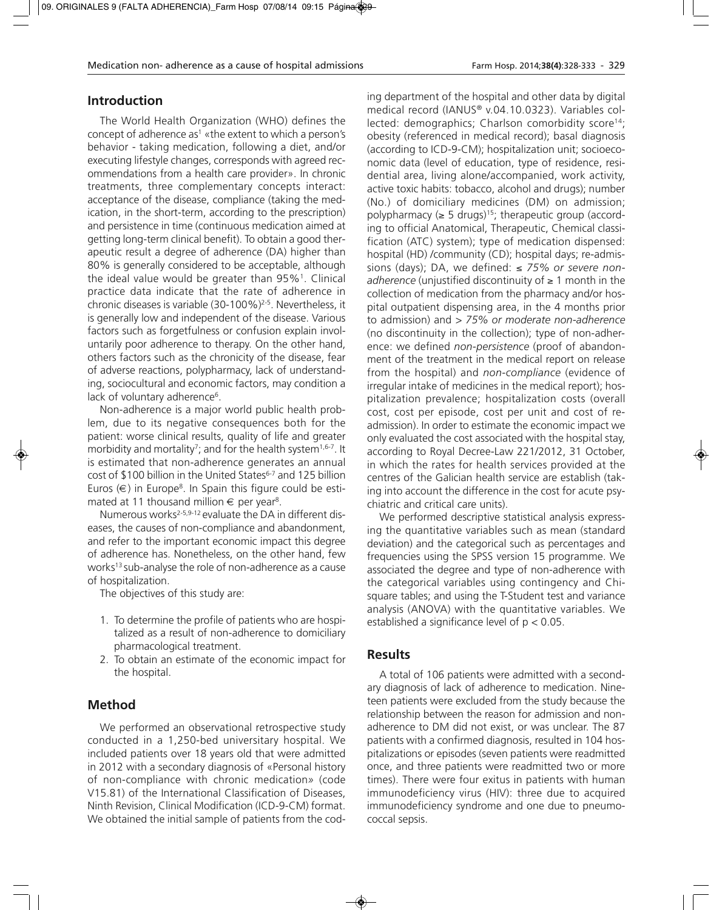## **Introduction**

The World Health Organization (WHO) defines the concept of adherence as<sup>1</sup> «the extent to which a person's behavior - taking medication, following a diet, and/or executing lifestyle changes, corresponds with agreed recommendations from a health care provider». In chronic treatments, three complementary concepts interact: acceptance of the disease, compliance (taking the medication, in the short-term, according to the prescription) and persistence in time (continuous medication aimed at getting long-term clinical benefit). To obtain a good therapeutic result a degree of adherence (DA) higher than 80% is generally considered to be acceptable, although the ideal value would be greater than  $95\%$ <sup>1</sup>. Clinical practice data indicate that the rate of adherence in chronic diseases is variable (30-100%)2-5. Nevertheless, it is generally low and independent of the disease. Various factors such as forgetfulness or confusion explain involuntarily poor adherence to therapy. On the other hand, others factors such as the chronicity of the disease, fear of adverse reactions, polypharmacy, lack of understanding, sociocultural and economic factors, may condition a lack of voluntary adherence<sup>6</sup>.

Non-adherence is a major world public health problem, due to its negative consequences both for the patient: worse clinical results, quality of life and greater morbidity and mortality<sup>7</sup>; and for the health system<sup>1,6-7</sup>. It is estimated that non-adherence generates an annual cost of \$100 billion in the United States<sup>6-7</sup> and 125 billion Euros  $(\epsilon)$  in Europe<sup>8</sup>. In Spain this figure could be estimated at 11 thousand million  $\epsilon$  per year<sup>8</sup>.

Numerous works<sup>2-5,9-12</sup> evaluate the DA in different diseases, the causes of non-compliance and abandonment, and refer to the important economic impact this degree of adherence has. Nonetheless, on the other hand, few works13 sub-analyse the role of non-adherence as a cause of hospitalization.

The objectives of this study are:

- 1. To determine the profile of patients who are hospitalized as a result of non-adherence to domiciliary pharmacological treatment.
- 2. To obtain an estimate of the economic impact for the hospital.

## **Method**

We performed an observational retrospective study conducted in a 1,250-bed universitary hospital. We included patients over 18 years old that were admitted in 2012 with a secondary diagnosis of «Personal history of non-compliance with chronic medication*»* (code V15.81) of the International Classification of Diseases, Ninth Revision, Clinical Modification (ICD-9-CM) format. We obtained the initial sample of patients from the coding department of the hospital and other data by digital medical record (IANUS® v.04.10.0323). Variables collected: demographics; Charlson comorbidity score<sup>14</sup>; obesity (referenced in medical record); basal diagnosis (according to ICD-9-CM); hospitalization unit; socioeconomic data (level of education, type of residence, residential area, living alone/accompanied, work activity, active toxic habits: tobacco, alcohol and drugs); number (No.) of domiciliary medicines (DM) on admission; polypharmacy ( $\geq$  5 drugs)<sup>15</sup>; therapeutic group (according to official Anatomical, Therapeutic, Chemical classification (ATC) system); type of medication dispensed: hospital (HD) /community (CD); hospital days; re-admissions (days); DA, we defined: ≤ *75% or severe nonadherence* (unjustified discontinuity of ≥ 1 month in the collection of medication from the pharmacy and/or hospital outpatient dispensing area, in the 4 months prior to admission) and *> 75% or moderate non-adherence* (no discontinuity in the collection); type of non-adherence: we defined *non-persistence* (proof of abandonment of the treatment in the medical report on release from the hospital) and *non-compliance* (evidence of irregular intake of medicines in the medical report); hospitalization prevalence; hospitalization costs (overall cost, cost per episode, cost per unit and cost of readmission). In order to estimate the economic impact we only evaluated the cost associated with the hospital stay, according to Royal Decree-Law 221/2012, 31 October, in which the rates for health services provided at the centres of the Galician health service are establish (taking into account the difference in the cost for acute psychiatric and critical care units).

We performed descriptive statistical analysis expressing the quantitative variables such as mean (standard deviation) and the categorical such as percentages and frequencies using the SPSS version 15 programme. We associated the degree and type of non-adherence with the categorical variables using contingency and Chisquare tables; and using the T-Student test and variance analysis (ANOVA) with the quantitative variables. We established a significance level of p < 0.05.

## **Results**

A total of 106 patients were admitted with a secondary diagnosis of lack of adherence to medication. Nineteen patients were excluded from the study because the relationship between the reason for admission and nonadherence to DM did not exist, or was unclear. The 87 patients with a confirmed diagnosis, resulted in 104 hospitalizations or episodes (seven patients were readmitted once, and three patients were readmitted two or more times). There were four exitus in patients with human immunodeficiency virus (HIV): three due to acquired immunodeficiency syndrome and one due to pneumococcal sepsis.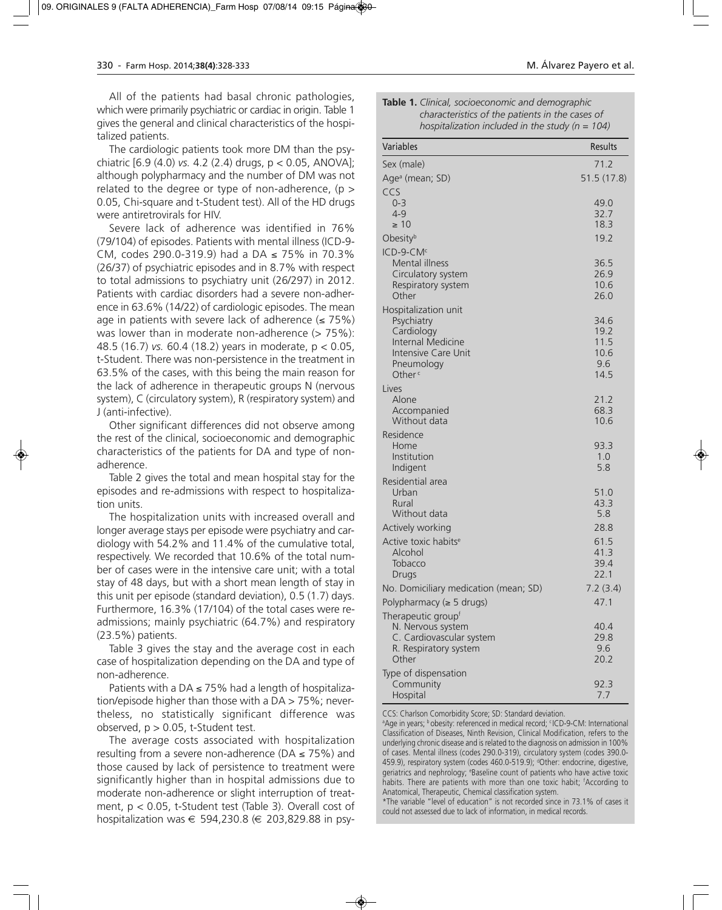All of the patients had basal chronic pathologies, which were primarily psychiatric or cardiac in origin. Table 1 gives the general and clinical characteristics of the hospitalized patients.

The cardiologic patients took more DM than the psychiatric [6.9 (4.0) *vs.* 4.2 (2.4) drugs, p < 0.05, ANOVA]; although polypharmacy and the number of DM was not related to the degree or type of non-adherence,  $(p >$ 0.05, Chi-square and t-Student test). All of the HD drugs were antiretrovirals for HIV.

Severe lack of adherence was identified in 76% (79/104) of episodes. Patients with mental illness (ICD-9- CM, codes 290.0-319.9) had a DA ≤ 75% in 70.3% (26/37) of psychiatric episodes and in 8.7% with respect to total admissions to psychiatry unit (26/297) in 2012. Patients with cardiac disorders had a severe non-adherence in 63.6% (14/22) of cardiologic episodes. The mean age in patients with severe lack of adherence  $(≤ 75%)$ was lower than in moderate non-adherence  $($  > 75%): 48.5 (16.7) *vs.* 60.4 (18.2) years in moderate, p < 0.05, t-Student. There was non-persistence in the treatment in 63.5% of the cases, with this being the main reason for the lack of adherence in therapeutic groups N (nervous system), C (circulatory system), R (respiratory system) and J (anti-infective).

Other significant differences did not observe among the rest of the clinical, socioeconomic and demographic characteristics of the patients for DA and type of nonadherence.

Table 2 gives the total and mean hospital stay for the episodes and re-admissions with respect to hospitalization units.

The hospitalization units with increased overall and longer average stays per episode were psychiatry and cardiology with 54.2% and 11.4% of the cumulative total, respectively. We recorded that 10.6% of the total number of cases were in the intensive care unit; with a total stay of 48 days, but with a short mean length of stay in this unit per episode (standard deviation), 0.5 (1.7) days. Furthermore, 16.3% (17/104) of the total cases were readmissions; mainly psychiatric (64.7%) and respiratory (23.5%) patients.

Table 3 gives the stay and the average cost in each case of hospitalization depending on the DA and type of non-adherence.

Patients with a DA  $\leq$  75% had a length of hospitalization/episode higher than those with a DA > 75%; nevertheless, no statistically significant difference was observed,  $p > 0.05$ , t-Student test.

The average costs associated with hospitalization resulting from a severe non-adherence ( $DA \le 75\%$ ) and those caused by lack of persistence to treatment were significantly higher than in hospital admissions due to moderate non-adherence or slight interruption of treatment,  $p < 0.05$ , t-Student test (Table 3). Overall cost of hospitalization was  $\epsilon$  594,230.8 ( $\epsilon$  203,829.88 in psy-

| Table 1. Clinical, socioeconomic and demographic  |
|---------------------------------------------------|
| characteristics of the patients in the cases of   |
| hospitalization included in the study $(n = 104)$ |

| Variables                                                                                                                               | Results                                     |
|-----------------------------------------------------------------------------------------------------------------------------------------|---------------------------------------------|
| Sex (male)                                                                                                                              | 71.2                                        |
| Age <sup>a</sup> (mean; SD)                                                                                                             | 51.5 (17.8)                                 |
| CCS<br>$0 - 3$<br>$4 - 9$<br>$\geq 10$                                                                                                  | 49.0<br>32.7<br>18.3                        |
| Obesityb                                                                                                                                | 19.2                                        |
| ICD-9-CM <sup>c</sup><br><b>Mental illness</b><br>Circulatory system<br>Respiratory system<br>Other                                     | 36.5<br>26.9<br>10.6<br>26.0                |
| Hospitalization unit<br>Psychiatry<br>Cardiology<br>Internal Medicine<br><b>Intensive Care Unit</b><br>Pneumology<br>Other <sup>c</sup> | 34.6<br>19.2<br>11.5<br>10.6<br>9.6<br>14.5 |
| Lives<br>Alone<br>Accompanied<br>Without data                                                                                           | 21.2<br>68.3<br>10.6                        |
| Residence<br>Home<br>Institution<br>Indigent                                                                                            | 93.3<br>1.0<br>5.8                          |
| Residential area<br>Urban<br>Rural<br>Without data                                                                                      | 51.0<br>43.3<br>5.8                         |
| Actively working<br>Active toxic habits <sup>e</sup><br>Alcohol<br>Tobacco<br>Drugs                                                     | 28.8<br>61.5<br>41.3<br>39.4<br>22.1        |
| No. Domiciliary medication (mean; SD)                                                                                                   | 7.2(3.4)                                    |
| Polypharmacy ( $\geq 5$ drugs)                                                                                                          | 47.1                                        |
| Therapeutic group <sup>t</sup><br>N. Nervous system<br>C. Cardiovascular system<br>R. Respiratory system<br>Other                       | 40.4<br>29.8<br>9.6<br>20.2                 |
| Type of dispensation<br>Community<br>Hospital                                                                                           | 92.3<br>7.7                                 |

CCS: Charlson Comorbidity Score; SD: Standard deviation.

a Age in years; b obesity: referenced in medical record; cICD-9-CM: International Classification of Diseases, Ninth Revision, Clinical Modification, refers to the underlying chronic disease and is related to the diagnosis on admission in 100% of cases. Mental illness (codes 290.0-319), circulatory system (codes 390.0- 459.9), respiratory system (codes 460.0-519.9); <sup>d</sup>Other: endocrine, digestive, geriatrics and nephrology; e Baseline count of patients who have active toxic habits. There are patients with more than one toxic habit; 'According to Anatomical, Therapeutic, Chemical classification system.

\*The variable "level of education" is not recorded since in 73.1% of cases it could not assessed due to lack of information, in medical records.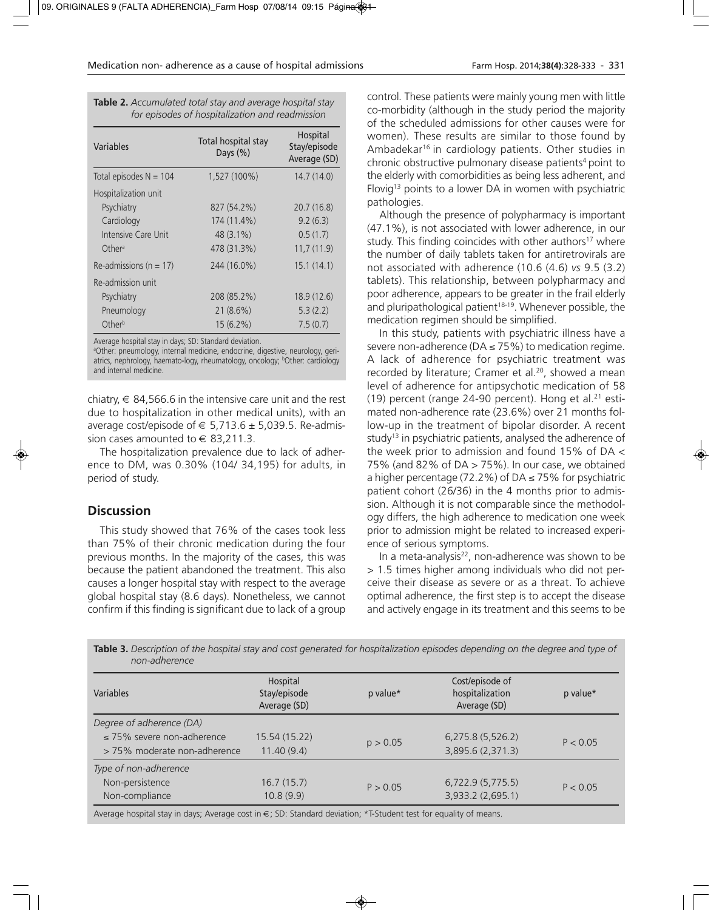|  | Farm Hosp. 2014;38(4):328-333 - 331 |  |  |
|--|-------------------------------------|--|--|
|--|-------------------------------------|--|--|

| <b>Table 2.</b> Accumulated total stay and average hospital stay |
|------------------------------------------------------------------|
| for episodes of hospitalization and readmission                  |

| Variables                  | Total hospital stay<br>Days $(\%)$ | Hospital<br>Stay/episode<br>Average (SD) |
|----------------------------|------------------------------------|------------------------------------------|
| Total episodes $N = 104$   | 1,527 (100%)                       | 14.7(14.0)                               |
| Hospitalization unit       |                                    |                                          |
| Psychiatry                 | 827 (54.2%)                        | 20.7(16.8)                               |
| Cardiology                 | 174 (11.4%)                        | 9.2(6.3)                                 |
| Intensive Care Unit        | $48(3.1\%)$                        | 0.5(1.7)                                 |
| Other <sup>a</sup>         | 478 (31.3%)                        | 11,7(11.9)                               |
| Re-admissions ( $n = 17$ ) | 244 (16.0%)                        | 15.1(14.1)                               |
| Re-admission unit          |                                    |                                          |
| Psychiatry                 | 208 (85.2%)                        | 18.9(12.6)                               |
| Pneumology                 | 21(8.6%)                           | 5.3(2.2)                                 |
| Other <sup>b</sup>         | $15(6.2\%)$                        | 7.5(0.7)                                 |

Average hospital stay in days; SD: Standard deviation.

a Other: pneumology, internal medicine, endocrine, digestive, neurology, geriatrics, nephrology, haemato-logy, rheumatology, oncology; <sup>b</sup>Other: cardiology and internal medicine.

chiatry,  $\in$  84,566.6 in the intensive care unit and the rest due to hospitalization in other medical units), with an average cost/episode of  $\in$  5,713.6  $\pm$  5,039.5. Re-admission cases amounted to  $\in$  83.211.3.

The hospitalization prevalence due to lack of adherence to DM, was 0.30% (104/ 34,195) for adults, in period of study.

## **Discussion**

This study showed that 76% of the cases took less than 75% of their chronic medication during the four previous months. In the majority of the cases, this was because the patient abandoned the treatment. This also causes a longer hospital stay with respect to the average global hospital stay (8.6 days). Nonetheless, we cannot confirm if this finding is significant due to lack of a group

control*.* These patients were mainly young men with little co-morbidity (although in the study period the majority of the scheduled admissions for other causes were for women). These results are similar to those found by Ambadekar16 in cardiology patients. Other studies in chronic obstructive pulmonary disease patients<sup>4</sup> point to the elderly with comorbidities as being less adherent, and Flovig<sup>13</sup> points to a lower DA in women with psychiatric pathologies.

Although the presence of polypharmacy is important (47.1%), is not associated with lower adherence, in our study. This finding coincides with other authors<sup>17</sup> where the number of daily tablets taken for antiretrovirals are not associated with adherence (10.6 (4.6) *vs* 9.5 (3.2) tablets). This relationship, between polypharmacy and poor adherence, appears to be greater in the frail elderly and pluripathological patient<sup>18-19</sup>. Whenever possible, the medication regimen should be simplified.

In this study, patients with psychiatric illness have a severe non-adherence ( $DA \le 75\%$ ) to medication regime. A lack of adherence for psychiatric treatment was recorded by literature; Cramer et al.<sup>20</sup>, showed a mean level of adherence for antipsychotic medication of 58 (19) percent (range 24-90 percent). Hong et al. $21$  estimated non-adherence rate (23.6%) over 21 months follow-up in the treatment of bipolar disorder. A recent study<sup>13</sup> in psychiatric patients, analysed the adherence of the week prior to admission and found 15% of DA < 75% (and 82% of DA > 75%). In our case, we obtained a higher percentage (72.2%) of DA ≤ 75% for psychiatric patient cohort (26/36) in the 4 months prior to admission. Although it is not comparable since the methodology differs, the high adherence to medication one week prior to admission might be related to increased experience of serious symptoms.

In a meta-analysis<sup>22</sup>, non-adherence was shown to be > 1.5 times higher among individuals who did not perceive their disease as severe or as a threat. To achieve optimal adherence, the first step is to accept the disease and actively engage in its treatment and this seems to be

| Variables                       | Hospital<br>Stay/episode<br>Average (SD) | p value* | Cost/episode of<br>hospitalization<br>Average (SD) | p value* |  |
|---------------------------------|------------------------------------------|----------|----------------------------------------------------|----------|--|
| Degree of adherence (DA)        |                                          |          |                                                    |          |  |
| $\leq$ 75% severe non-adherence | 15.54 (15.22)                            | p > 0.05 | 6,275.8(5,526.2)                                   | P < 0.05 |  |
| >75% moderate non-adherence     | 11.40(9.4)                               |          | 3,895.6 (2,371.3)                                  |          |  |
| Type of non-adherence           |                                          |          |                                                    |          |  |
| Non-persistence                 | 16.7(15.7)                               | P > 0.05 | 6,722.9(5,775.5)                                   | P < 0.05 |  |
| Non-compliance                  | 10.8(9.9)                                |          | 3,933.2 (2,695.1)                                  |          |  |

**Table 3.** *Description of the hospital stay and cost generated for hospitalization episodes depending on the degree and type of non-adherence*

Average hospital stay in days; Average cost in €; SD: Standard deviation; \*T-Student test for equality of means.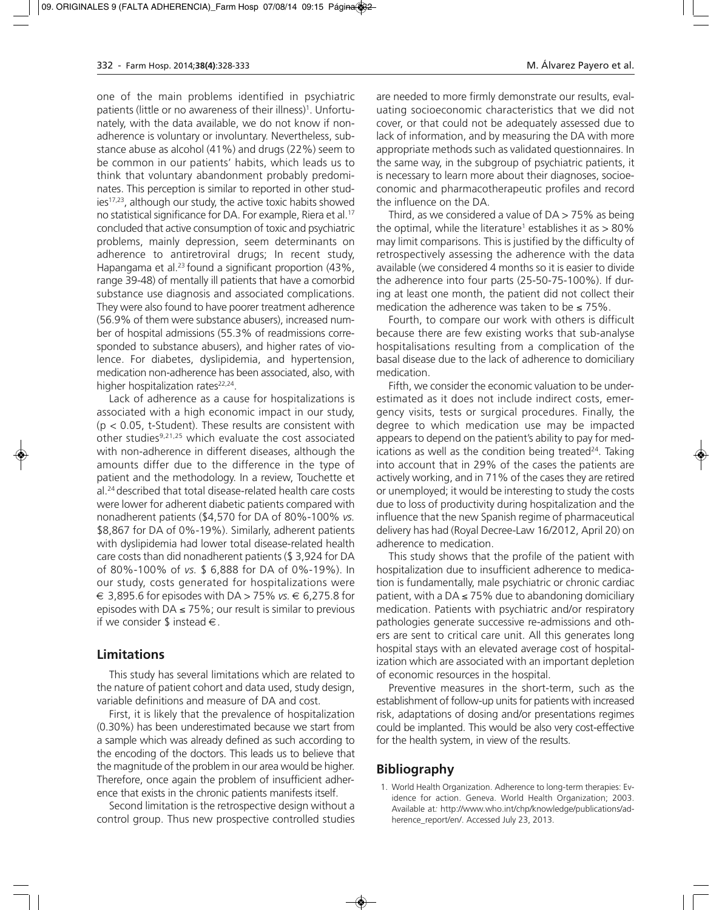one of the main problems identified in psychiatric patients (little or no awareness of their illness)<sup>1</sup>. Unfortunately, with the data available, we do not know if nonadherence is voluntary or involuntary. Nevertheless, substance abuse as alcohol (41%) and drugs (22%) seem to be common in our patients' habits, which leads us to think that voluntary abandonment probably predominates. This perception is similar to reported in other studies<sup>17,23</sup>, although our study, the active toxic habits showed no statistical significance for DA. For example, Riera et al.17 concluded that active consumption of toxic and psychiatric problems, mainly depression, seem determinants on adherence to antiretroviral drugs; In recent study, Hapangama et al.<sup>23</sup> found a significant proportion (43%, range 39-48) of mentally ill patients that have a comorbid substance use diagnosis and associated complications. They were also found to have poorer treatment adherence (56.9% of them were substance abusers), increased number of hospital admissions (55.3% of readmissions corresponded to substance abusers), and higher rates of violence. For diabetes, dyslipidemia, and hypertension, medication non-adherence has been associated, also, with higher hospitalization rates<sup>22,24</sup>.

Lack of adherence as a cause for hospitalizations is associated with a high economic impact in our study,  $(p < 0.05$ , t-Student). These results are consistent with other studies<sup>9,21,25</sup> which evaluate the cost associated with non-adherence in different diseases, although the amounts differ due to the difference in the type of patient and the methodology. In a review, Touchette et al.24 described that total disease-related health care costs were lower for adherent diabetic patients compared with nonadherent patients (\$4,570 for DA of 80%-100% *vs.* \$8,867 for DA of 0%-19%). Similarly, adherent patients with dyslipidemia had lower total disease-related health care costs than did nonadherent patients (\$ 3,924 for DA of 80%-100% of *vs.* \$ 6,888 for DA of 0%-19%). In our study, costs generated for hospitalizations were € 3,895.6 for episodes with DA > 75% *vs.* € 6,275.8 for episodes with DA  $\leq$  75%; our result is similar to previous if we consider \$ instead  $\in$ .

## **Limitations**

This study has several limitations which are related to the nature of patient cohort and data used, study design, variable definitions and measure of DA and cost.

First, it is likely that the prevalence of hospitalization (0.30%) has been underestimated because we start from a sample which was already defined as such according to the encoding of the doctors. This leads us to believe that the magnitude of the problem in our area would be higher. Therefore, once again the problem of insufficient adherence that exists in the chronic patients manifests itself.

Second limitation is the retrospective design without a control group. Thus new prospective controlled studies

are needed to more firmly demonstrate our results, evaluating socioeconomic characteristics that we did not cover, or that could not be adequately assessed due to lack of information, and by measuring the DA with more appropriate methods such as validated questionnaires. In the same way, in the subgroup of psychiatric patients, it is necessary to learn more about their diagnoses, socioeconomic and pharmacotherapeutic profiles and record the influence on the DA.

Third, as we considered a value of  $DA > 75\%$  as being the optimal, while the literature<sup>1</sup> establishes it as  $> 80\%$ may limit comparisons. This is justified by the difficulty of retrospectively assessing the adherence with the data available (we considered 4 months so it is easier to divide the adherence into four parts (25-50-75-100%). If during at least one month, the patient did not collect their medication the adherence was taken to be  $\leq 75\%$ .

Fourth, to compare our work with others is difficult because there are few existing works that sub-analyse hospitalisations resulting from a complication of the basal disease due to the lack of adherence to domiciliary medication.

Fifth, we consider the economic valuation to be underestimated as it does not include indirect costs, emergency visits, tests or surgical procedures. Finally, the degree to which medication use may be impacted appears to depend on the patient's ability to pay for medications as well as the condition being treated $24$ . Taking into account that in 29% of the cases the patients are actively working, and in 71% of the cases they are retired or unemployed; it would be interesting to study the costs due to loss of productivity during hospitalization and the influence that the new Spanish regime of pharmaceutical delivery has had (Royal Decree-Law 16/2012, April 20) on adherence to medication.

This study shows that the profile of the patient with hospitalization due to insufficient adherence to medication is fundamentally, male psychiatric or chronic cardiac patient, with a DA  $\leq$  75% due to abandoning domiciliary medication. Patients with psychiatric and/or respiratory pathologies generate successive re-admissions and others are sent to critical care unit. All this generates long hospital stays with an elevated average cost of hospitalization which are associated with an important depletion of economic resources in the hospital.

Preventive measures in the short-term, such as the establishment of follow-up units for patients with increased risk, adaptations of dosing and/or presentations regimes could be implanted. This would be also very cost-effective for the health system, in view of the results.

## **Bibliography**

1. World Health Organization. Adherence to long-term therapies: Evidence for action. Geneva. World Health Organization; 2003. Available at: http://www.who.int/chp/knowledge/publications/adherence\_report/en/. Accessed July 23, 2013.